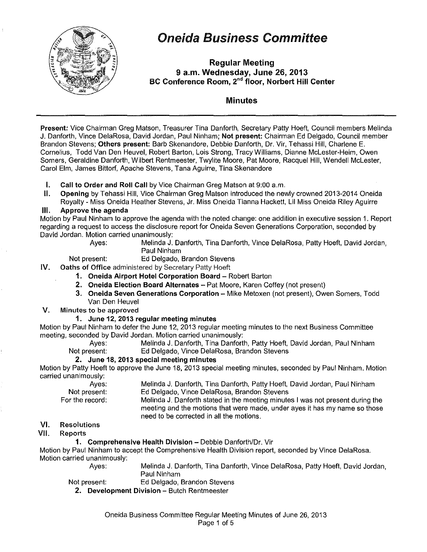

# Oneida Business Committee

Regular Meeting 9 a.m. Wednesday, June 26, 2013 BC Conference Room, 2"d floor, Norbert Hill Center

#### Minutes

Present: Vice Chairman Greg Matson, Treasurer Tina Danforth, Secretary Patty Hoeft, Council members Melinda J. Danforth, Vince DelaRosa, David Jordan, Paul Ninham; Not present: Chairman Ed Delgado, Council member Brandon Stevens; Others present: Barb Skenandore, Debbie Danforth, Dr. Vir, Tehassi Hill, Charlene E. Cornelius, Todd Van Den Heuvel, Robert Barton, Lois Strong, Tracy Williams, Dianne Mclester·Heim, Owen Somers, Geraldine Danforth, Wilbert Rentmeester, Twylite Moore, Pat Moore, Racquel Hill, Wendell Mclester, Carol Elm, James Bittorf, Apache Stevens, Tana Aguirre, Tina Skenandore

- **I.** Call to Order and Roll Call by Vice Chairman Greg Matson at 9:00 a.m.
- II. Opening by Tehassi Hill, Vice Chairman Greg Matson introduced the newly crowned 2013-2014 Oneida Royalty- Miss Oneida Heather Stevens, Jr. Miss Oneida Tianna Hackett, Lil Miss Oneida Riley Aguirre

#### Ill. Approve the agenda

Motion by Paul Ninham to approve the agenda with the noted change: one addition in executive session 1. Report regarding a request to access the disclosure report for Oneida Seven Generations Corporation, seconded by David Jordan. Motion carried unanimously:

Ayes: Melinda J. Danforth, Tina Danforth, Vince DelaRosa, Patty Hoeft, David Jordan, Paul Ninham

Not present: Ed Delgado, Brandon Stevens

- IV. Oaths of Office administered by Secretary Patty Hoeft
	- 1. Oneida Airport Hotel Corporation Board Robert Barton
	- 2. Oneida Election Board Alternates- Pat Moore, Karen Coffey (not present)
	- 3. Oneida Seven Generations Corporation Mike Metoxen (not present), Owen Somers, Todd Van Den Heuvel
- V. Minutes to be approved

#### 1. June 12, 2013 regular meeting minutes

Motion by Paul Ninham to defer the June 12, 2013 regular meeting minutes to the next Business Committee meeting, seconded by David Jordan. Motion carried unanimously:

Ayes: Melinda J. Danforth, Tina Danforth, Patty Hoeft, David Jordan, Paul Ninham Not present: Ed Delgado, Vince DelaRosa, Brandon Stevens

#### 2. June 18,2013 special meeting minutes

Motion by Patty Hoeft to approve the June 18,2013 special meeting minutes, seconded by Paul Ninham. Motion carried unanimously:

Ayes:

Not present: For the record:

- Melinda J. Danforth, Tina Danforth, Patty Hoeft, David Jordan, Paul Ninham Ed Delgado, Vince DelaRosa, Brandon Stevens
- Melinda J. Danforth stated in the meeting minutes I was not present during the meeting and the motions that were made, under ayes it has my name so those need to be corrected in all the motions.

#### VI. Resolutions

VII. Reports

#### 1. Comprehensive Health Division- Debbie Danforth/Or. Vir

Motion by Paul Ninham to accept the Comprehensive Health Division report, seconded by Vince DelaRosa. Motion carried unanimously:

Ayes: Melinda J. Danforth, Tina Danforth, Vince DelaRosa, Patty Hoeft, David Jordan, Paul Ninham

Not present: Ed Delgado, Brandon Stevens

2. Development Division- Butch Rentmeester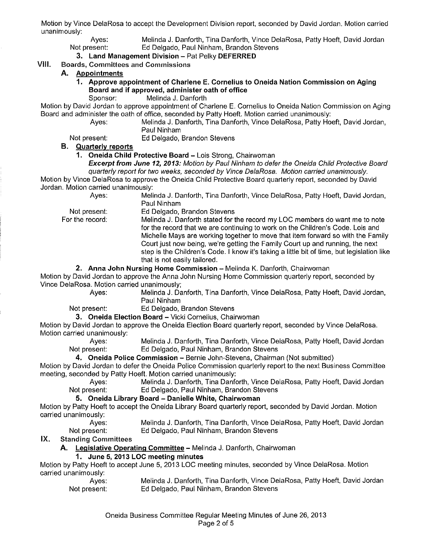Motion by Vince DelaRosa to accept the Development Division report, seconded by David Jordan. Motion carried unanimously:

Ayes: Melinda J. Danforth, Tina Danforth, Vince DelaRosa, Patty Hoeft, David Jordan<br>Not present: Ed Delgado, Paul Ninham, Brandon Stevens Ed Delgado, Paul Ninham, Brandon Stevens

#### 3. Land Management Division - Pat Pelky DEFERRED

#### VIII. Boards, Committees and Commissions

#### A. Appointments

1. Approve appointment of Charlene E. Cornelius to Oneida Nation Commission on Aging Board and if approved, administer oath of office<br>Sponsor: Melinda J. Danforth

Melinda J. Danforth

Motion by David Jordan to approve appointment of Charlene E. Cornelius to Oneida Nation Commission on Aging Board and administer the oath of office, seconded by Patty Hoeft. Motion carried unanimously:

Ayes: Melinda J. Danforth, Tina Danforth, Vince DelaRosa, Patty Hoeft, David Jordan, Paul Ninham

Not present: Ed Delgado, Brandon Stevens

#### B. Quarterly reports

1. Oneida Child Protective Board - Lois Strong, Chairwoman

Excerpt from June 12, 2013: Motion by Paul Ninham to defer the Oneida Child Protective Board quarterly report for two weeks, seconded by Vince DelaRosa. Motion carried unanimously.

Motion by Vince DelaRosa to approve the Oneida Child Protective Board quarterly report, seconded by David Jordan. Motion carried unanimously:

| Aves:           | Melinda J. Danforth, Tina Danforth, Vince DelaRosa, Patty Hoeft, David Jordan,                                                                                                                                                                                                                                                                                                                                                                                  |
|-----------------|-----------------------------------------------------------------------------------------------------------------------------------------------------------------------------------------------------------------------------------------------------------------------------------------------------------------------------------------------------------------------------------------------------------------------------------------------------------------|
|                 | Paul Ninham                                                                                                                                                                                                                                                                                                                                                                                                                                                     |
| Not present:    | Ed Delgado, Brandon Stevens                                                                                                                                                                                                                                                                                                                                                                                                                                     |
| For the record: | Melinda J. Danforth stated for the record my LOC members do want me to note<br>for the record that we are continuing to work on the Children's Code. Lois and<br>Michelle Mays are working together to move that item forward so with the Family<br>Court just now being, we're getting the Family Court up and running, the next<br>step is the Children's Code. I know it's taking a little bit of time, but legislation like<br>that is not easily tailored. |
|                 |                                                                                                                                                                                                                                                                                                                                                                                                                                                                 |

2. Anna John Nursing Home Commission - Melinda K. Danforth, Chairwoman

Motion by David Jordan to approve the Anna John Nursing Home Commission quarterly report, seconded by Vince DelaRosa. Motion carried unanimously;

Ayes: Melinda J. Danforth, Tina Danforth, Vince DelaRosa, Patty Hoeft, David Jordan, Paul Ninham

Not present: Ed Delgado, Brandon Stevens

3. Oneida Election Board - Vicki Cornelius, Chairwoman

Motion by David Jordan to approve the Oneida Election Board quarterly report, seconded by Vince DelaRosa. Motion carried unanimously:

Ayes: Melinda J. Danforth, Tina Danforth, Vince DelaRosa, Patty Hoeft, David Jordan Not present: Ed Delgado, Paul Ninham, Brandon Stevens

4. Oneida Police Commission - Bernie John-Stevens, Chairman (Not submitted)

Motion by David Jordan to defer the Oneida Police Commission quarterly report to the next Business Committee meeting, seconded by Patty Hoeft. Motion carried unanimously:

Ayes: Melinda J. Danforth, Tina Danforth, Vince DelaRosa, Patty Hoeft, David Jordan Not present: Ed Delgado, Paul Ninham, Brandon Stevens

#### 5. Oneida Library Board - Danielle White, Chairwoman

Motion by Patty Hoeft to accept the Oneida Library Board quarterly report, seconded by David Jordan. Motion carried unanimously:

Ayes: Not present: Melinda J. Danforth, Tina Danforth, Vince DelaRosa, Patty Hoeft, David Jordan Ed Delgado, Paul Ninham, Brandon Stevens

IX. Standing Committees

A. Legislative Operating Committee - Melinda J. Danforth, Chairwoman

#### 1. June 5, 2013 LOC meeting minutes

Motion by Patty Hoeft to accept June 5, 2013 LOC meeting minutes, seconded by Vince DelaRosa. Motion carried unanimously:

| Ayes:        | Melinda J. Danforth, Tina Danforth, Vince DelaRosa, Patty Hoeft, David Jordan |
|--------------|-------------------------------------------------------------------------------|
| Not present: | Ed Delgado, Paul Ninham, Brandon Stevens                                      |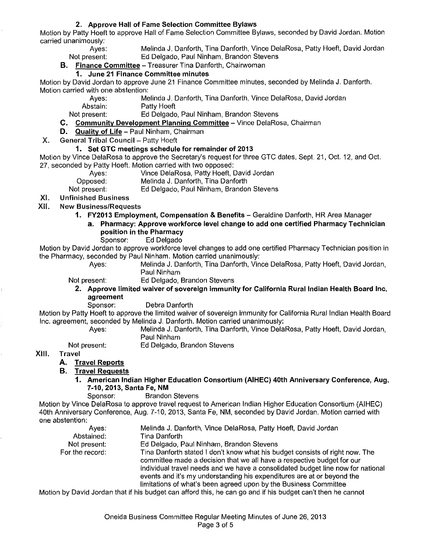#### 2. Approve Hall of Fame Selection Committee Bylaws

Motion by Patty Hoeft to approve Hall of Fame Selection Committee Bylaws, seconded by David Jordan. Motion carried unanimously:

Ayes: Melinda J. Danforth, Tina Danforth, Vince DelaRosa, Patty Hoeft, David Jordan Not present: Ed Delgado, Paul Ninham, Brandon Stevens

**B.** Finance Committee - Treasurer Tina Danforth, Chairwoman

## 1. June 21 Finance Committee minutes

Motion by David Jordan to approve June 21 Finance Committee minutes, seconded by Melinda J. Danforth. Motion carried with one abstention:

> Ayes: Melinda J. Danforth, Tina Danforth, Vince DelaRosa, David Jordan<br>Abstain: Patty Hoeft Patty Hoeft

Not present: Ed Delgado, Paul Ninham, Brandon Stevens

- C. Community Development Planning Committee Vince DelaRosa, Chairman
- D. Quality of Life Paul Ninham, Chairman

X. General Tribal Council - Patty Hoeft

#### 1. Set GTC meetings schedule for remainder of 2013

Motion by Vince DelaRosa to approve the Secretary's request for three GTC dates, Sept. 21, Oct. 12, and Oct. 27, seconded by Patty Hoeft. Motion carried with two opposed:

Ayes: Vince DelaRosa, Patty Hoeft, David Jordan<br>Opposed: Melinda J. Danforth, Tina Danforth

Opposed: Melinda J. Danforth, Tina Danforth Ed Delgado, Paul Ninham, Brandon Stevens

XI. Unfinished Business

XII. New Business/Requests

1. FY2013 Employment, Compensation & Benefits - Geraldine Danforth, HR Area Manager

a. Pharmacy: Approve workforce level change to add one certified Pharmacy Technician position in the Pharmacy

#### Sponsor: Ed Delgado

Motion by David Jordan to approve workforce level changes to add one certified Pharmacy Technician position in the Pharmacy, seconded by Paul Ninham. Motion carried unanimously:

Ayes: Melinda J. Danforth, Tina Danforth, Vince DelaRosa, Patty Hoeft, David Jordan, Paul Ninham

Not present: Ed Delgado, Brandon Stevens

- 2. Approve limited waiver of sovereign immunity for California Rural Indian Health Board Inc. agreement
	- Sponsor: Debra Danforth

Motion by Patty Hoeft to approve the limited waiver of sovereign immunity for California Rural Indian Health Board Inc. agreement, seconded by Melinda J. Danforth. Motion carried unanimously:

Ayes: Melinda J. Danforth, Tina Danforth, Vince DelaRosa, Patty Hoeft, David Jordan, Paul Ninham

Not present: Ed Delgado, Brandon Stevens

XIII. Travel

#### A. Travel Reports

#### B. Travel Requests

- 1. American Indian Higher Education Consortium (AIHEC) 40th Anniversary Conference, Aug. 7-10,2013, Santa Fe, NM
	- Sponsor: Brandon Stevens

Motion by Vince DelaRosa to approve travel request to American Indian Higher Education Consortium (AIHEC) 40th Anniversary Conference, Aug. 7-10, 2013, Santa Fe, NM, seconded by David Jordan. Motion carried with one abstention:

Ayes: Abstained: Not present: For. the record: Melinda J. Danforth, Vince DelaRosa, Patty Hoeft, David Jordan Tina Danforth Ed Delgado, Paul Ninham, Brandon Stevens Tina Danforth stated I don't know what his budget consists of right now. The committee made a decision that we all have a respective budget for our individual travel needs and we have a consolidated budget line now for national events and it's my understanding his expenditures are at or beyond the limitations of what's been agreed upon by the Business Committee Motion by David Jordan that if his budget can afford this, he can go and if his budget can't then he cannot

Oneida Business Committee Regular Meeting Minutes of June 26, 2013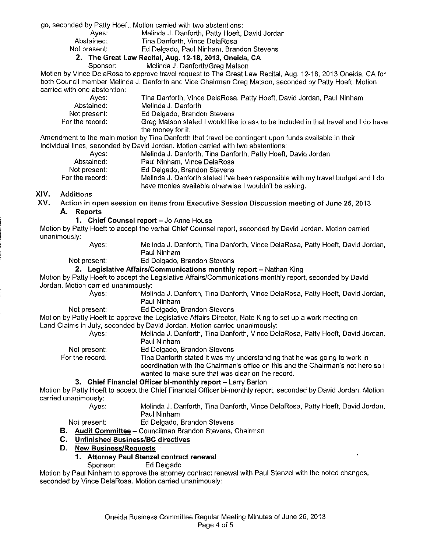go, seconded by Patty Hoeft. Motion carried with two abstentions:

- Ayes: Melinda J. Danforth, Patty Hoeft, David Jordan
- Abstained: Tina Danforth, Vince DelaRosa<br>Not present: Ed Delgado, Paul Ninham, Brar

Ed Delgado, Paul Ninham, Brandon Stevens

#### **2. The Great Law Recital, Aug. 12-18,2013, Oneida, CA**

Sponsor: Melinda J. Danforth/Greg Matson

Motion by Vince DelaRosa to approve travel request to The Great Law Recital, Aug. 12-18, 2013 Oneida, CA for both Council member Melinda J. Danforth and Vice Chairman Greg Matson, seconded by Patty Hoeft. Motion carried with one abstention:

| Aves:           | Tina Danforth, Vince DelaRosa, Patty Hoeft, David Jordan, Paul Ninham                                         |
|-----------------|---------------------------------------------------------------------------------------------------------------|
| Abstained:      | Melinda J. Danforth                                                                                           |
| Not present:    | Ed Delgado, Brandon Stevens                                                                                   |
| For the record: | Greg Matson stated I would like to ask to be included in that travel and I do have                            |
|                 | the money for it.                                                                                             |
|                 | daanad ka dhee waajin waakina kuu Tinn Domfouth thod tununt ka maantiqaanat uumaa fuunto muuttakela in thatu. |

Amendment to the main motion by Tina Danforth that travel be contingent upon funds available in their Individual lines, seconded by David Jordan. Motion carried with two abstentions:

| Aves:             | Melinda J. Danforth, Tina Danforth, Patty Hoeft, David Jordan                   |
|-------------------|---------------------------------------------------------------------------------|
| Abstained:        | Paul Ninham, Vince DelaRosa                                                     |
| Not present       | Ed Delgado, Brandon Stevens                                                     |
| For the record: . | Melinda J. Danforth stated I've been responsible with my travel budget and I do |
|                   | have monies available otherwise I wouldn't be asking.                           |

#### XIV. Additions

XV. Action in open session on items from Executive Session Discussion meeting of June 25, 2013

# **A. Reports**

**1. Chief Counsel report - Jo Anne House** 

Motion by Patty Hoeft to accept the verbal Chief Counsel report, seconded by David Jordan. Motion carried unanimously:

Ayes: Melinda J. Danforth, Tina Danforth, Vince DelaRosa, Patty Hoeft, David Jordan, Paul Ninham

Not present: Ed Delgado, Brandon Stevens

**2. Legislative Affairs/Communications monthly report - Nathan King** 

Motion by Patty Hoeft to accept the Legislative Affairs/Communications monthly report, seconded by David Jordan. Motion carried unanimously:

Ayes: Melinda J. Danforth, Tina Danforth, Vince DelaRosa, Patty Hoeft, David Jordan, Paul Ninham

Not present: Ed Delgado, Brandon Stevens

Motion by Patty Hoeft to approve the Legislative Affairs Director, Nate King to set up a work meeting on Land Claims in July, seconded by David Jordan. Motion carried unanimously:

Ayes: Melinda J. Danforth, Tina Danforth, Vince DelaRosa, Patty Hoeft, David Jordan, Not present: For the record: Paul Ninham Ed Delgado, Brandon Stevens Tina Danforth stated it was my understanding that he was going to work in coordination with the Chairman's office on this and the Chairman's not here so I wanted to make sure that was clear on the record.

**3. Chief Financial Officer bi-monthly report-** Larry Barton

Motion by Patty Hoeft to accept the Chief Financial Officer bi-monthly report, seconded by David Jordan. Motion carried unanimously:

Ayes: Melinda J. Danforth, Tina Danforth, Vince DelaRosa, Patty Hoeft, David Jordan, Paul Ninham

## Not present: Ed Delgado, Brandon Stevens

**B. Audit Committee-** Councilman Brandon Stevens, Chairman

#### **C. Unfinished Business/BC directives**

**D. New Business/Reguests** 

#### **1. Attorney Paul Stenzel contract renewal**

Sponsor: Ed Delgado

Motion by Paul Ninham to approve the attorney contract renewal with Paul Stenzel with the noted changes, seconded by Vince DelaRosa. Motion carried unanimously: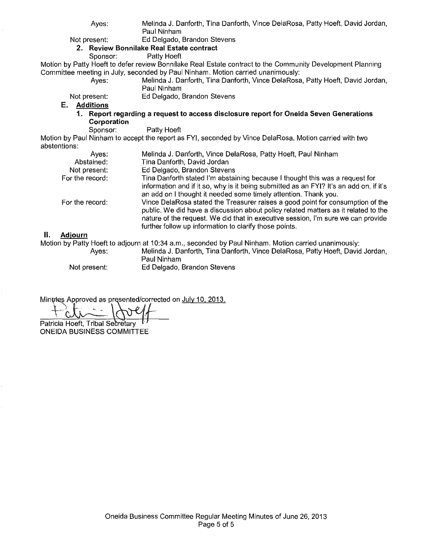| Ayes:                                                                                                                                                                                         | Melinda J. Danforth, Tina Danforth, Vince DelaRosa, Patty Hoeft, David Jordan,<br>Paul Ninham |  |  |  |  |
|-----------------------------------------------------------------------------------------------------------------------------------------------------------------------------------------------|-----------------------------------------------------------------------------------------------|--|--|--|--|
| Not present:                                                                                                                                                                                  | Ed Delgado, Brandon Stevens                                                                   |  |  |  |  |
| 2. Review Bonnilake Real Estate contract                                                                                                                                                      |                                                                                               |  |  |  |  |
| Sponsor:                                                                                                                                                                                      | Patty Hoeft                                                                                   |  |  |  |  |
|                                                                                                                                                                                               |                                                                                               |  |  |  |  |
| Motion by Patty Hoeft to defer review Bonnilake Real Estate contract to the Community Development Planning<br>Committee meeting in July, seconded by Paul Ninham. Motion carried unanimously: |                                                                                               |  |  |  |  |
|                                                                                                                                                                                               |                                                                                               |  |  |  |  |
| Ayes:                                                                                                                                                                                         | Melinda J. Danforth, Tina Danforth, Vince DelaRosa, Patty Hoeft, David Jordan,<br>Paul Ninham |  |  |  |  |
| Not present:                                                                                                                                                                                  | Ed Delgado, Brandon Stevens                                                                   |  |  |  |  |
| E.<br><b>Additions</b>                                                                                                                                                                        |                                                                                               |  |  |  |  |
| 1. Report regarding a request to access disclosure report for Oneida Seven Generations                                                                                                        |                                                                                               |  |  |  |  |
| Corporation                                                                                                                                                                                   |                                                                                               |  |  |  |  |
| Sponsor:                                                                                                                                                                                      | Patty Hoeft                                                                                   |  |  |  |  |
| Motion by Paul Ninham to accept the report as FYI, seconded by Vince DelaRosa. Motion carried with two                                                                                        |                                                                                               |  |  |  |  |
| abstentions:                                                                                                                                                                                  |                                                                                               |  |  |  |  |
| Ayes:                                                                                                                                                                                         | Melinda J. Danforth, Vince DelaRosa, Patty Hoeft, Paul Ninham                                 |  |  |  |  |
| Abstained:                                                                                                                                                                                    | Tina Danforth, David Jordan                                                                   |  |  |  |  |
| Not present:                                                                                                                                                                                  | Ed Delgado, Brandon Stevens                                                                   |  |  |  |  |
| For the record:                                                                                                                                                                               | Tina Danforth stated I'm abstaining because I thought this was a request for                  |  |  |  |  |
|                                                                                                                                                                                               | information and if it so, why is it being submitted as an FYI? It's an add on, if it's        |  |  |  |  |
|                                                                                                                                                                                               | an add on I thought it needed some timely attention. Thank you,                               |  |  |  |  |
| For the record:                                                                                                                                                                               | Vince DelaRosa stated the Treasurer raises a good point for consumption of the                |  |  |  |  |
|                                                                                                                                                                                               | public. We did have a discussion about policy related matters as it related to the            |  |  |  |  |
|                                                                                                                                                                                               | nature of the request. We did that in executive session, I'm sure we can provide              |  |  |  |  |
|                                                                                                                                                                                               | further follow up information to clarify those points.                                        |  |  |  |  |

#### **II. Adjourn**

Motion by Patty Hoeft to adjourn at 10:34 a.m., seconded by Paul Ninham. Motion carried unanimously: Ayes: Melinda J. Danforth, Tina Danforth, Vince DelaRosa, Patty Hoeft, David Jordan,

Paul Ninham Not present: Ed Delgado, Brandon Stevens

Minutes Approved as presented/corrected on July 10, 2013.

Patricia Hoeft, Tribal Secretary ONEIDA BUSINESS COMMITTEE